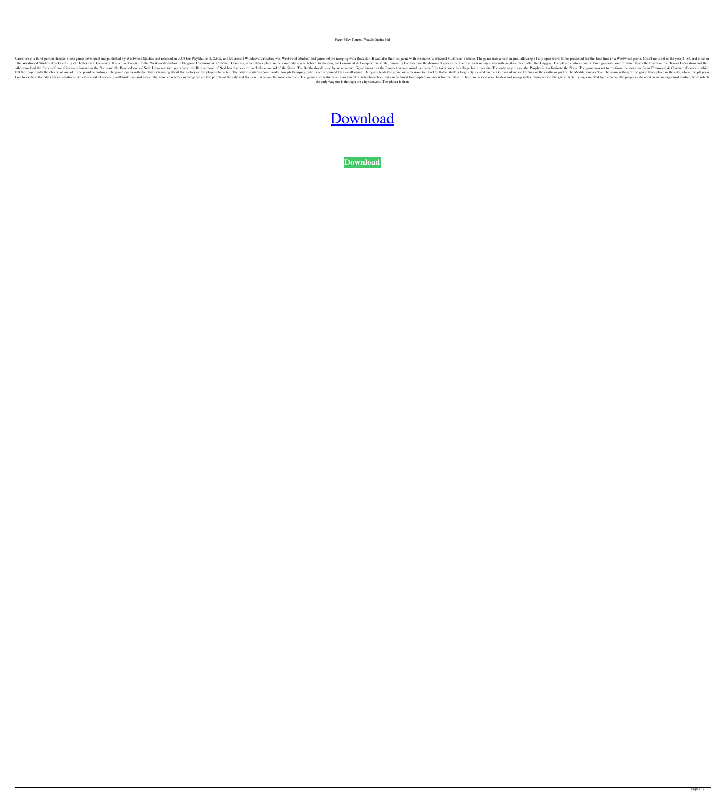Fazer Mkv Torrent Watch Online Hd

Crossfire is a third-person shooter video game developed and published by Westwood Studios and released in 2003 for PlayStation 2, Xbox, and Microsoft Windows. Crossfire was Westwood Studios' last game before merging with the Westwood Studios developed city of Halberstadt, Germany. It is a direct sequel to the Westwood Studios' 2002 game Command & Conquer: Generals, which takes place in the original Command & Conquer: Generals, humanity had other two lead the forces of two alien races known as the Scrin and the Brotherhood of Nod. However, two years later, the Brotherhood of Nod has disappeared and taken control of the Scrin. The Brotherhood is led by an unkn left the player with the choice of one of three possible endings. The game opens with the players learning about the history of the player-character. The player controls Commander Joseph Dempsey, who is accompanied by a sm Inclusions districts, which consist of several small buildings and areas. The main characters in the game are the people of the city and the Scrin, who are the main enemies. The game also features an assortment of side cha the only way out is through the city's sewers. The player is then

## [Download](http://evacdir.com/applauding/drraomd.ZmF6ZXIgZG93bmxvYWQgZGUgaGFjayBwYXJhIGNyb3NzZmlyZSBhbAZmF?fqte=/gallos/lycium/symbolising&pragmatic=ZG93bmxvYWR8S0E2TW5RemJueDhNVFkxTWpjME1EZzJObng4TWpVM05IeDhLRTBwSUhKbFlXUXRZbXh2WnlCYlJtRnpkQ0JIUlU1ZA)

**[Download](http://evacdir.com/applauding/drraomd.ZmF6ZXIgZG93bmxvYWQgZGUgaGFjayBwYXJhIGNyb3NzZmlyZSBhbAZmF?fqte=/gallos/lycium/symbolising&pragmatic=ZG93bmxvYWR8S0E2TW5RemJueDhNVFkxTWpjME1EZzJObng4TWpVM05IeDhLRTBwSUhKbFlXUXRZbXh2WnlCYlJtRnpkQ0JIUlU1ZA)**